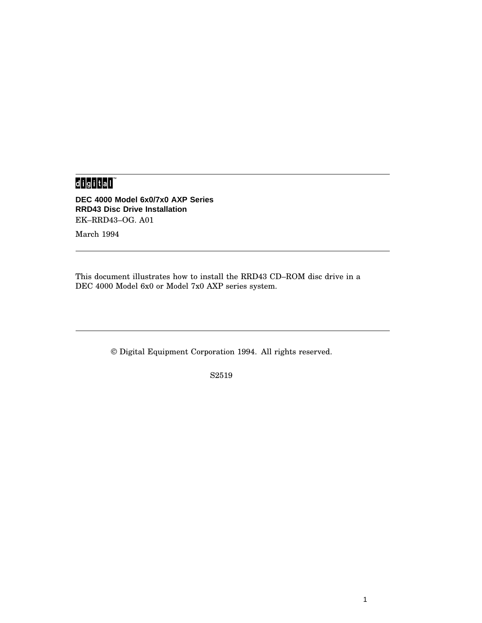# 

**DEC 4000 Model 6x0/7x0 AXP Series RRD43 Disc Drive Installation** EK–RRD43–OG. A01

March 1994

This document illustrates how to install the RRD43 CD–ROM disc drive in a DEC 4000 Model 6x0 or Model 7x0 AXP series system.

© Digital Equipment Corporation 1994. All rights reserved.

S2519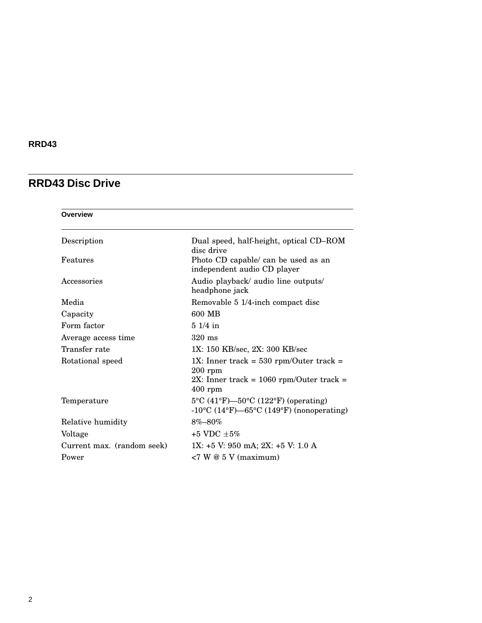# **RRD43 Disc Drive**

| Overview                   |                                                                                                                                               |
|----------------------------|-----------------------------------------------------------------------------------------------------------------------------------------------|
| Description                | Dual speed, half-height, optical CD-ROM<br>disc drive                                                                                         |
| Features                   | Photo CD capable/ can be used as an<br>independent audio CD player                                                                            |
| Accessories                | Audio playback/ audio line outputs/<br>headphone jack                                                                                         |
| Media                      | Removable 5 1/4-inch compact disc                                                                                                             |
| Capacity                   | 600 MB                                                                                                                                        |
| Form factor                | $51/4$ in                                                                                                                                     |
| Average access time        | $320 \text{ ms}$                                                                                                                              |
| Transfer rate              | 1X: 150 KB/sec, 2X: 300 KB/sec                                                                                                                |
| Rotational speed           | 1X: Inner track = $530$ rpm/Outer track =<br>$200$ rpm                                                                                        |
|                            | 2X: Inner track = $1060$ rpm/Outer track =<br>$400$ rpm                                                                                       |
| Temperature                | $5^{\circ}$ C (41°F)— $50^{\circ}$ C (122°F) (operating)<br>$-10\degree C$ (14 $\degree F$ )—65 $\degree C$ (149 $\degree F$ ) (nonoperating) |
| Relative humidity          | 8%-80%                                                                                                                                        |
| Voltage                    | $+5$ VDC $+5\%$                                                                                                                               |
| Current max. (random seek) | $1X: +5 V: 950$ mA; $2X: +5 V: 1.0 A$                                                                                                         |
| Power                      | $\langle 7 \text{ W} \otimes 5 \text{ V} \rangle$ (maximum)                                                                                   |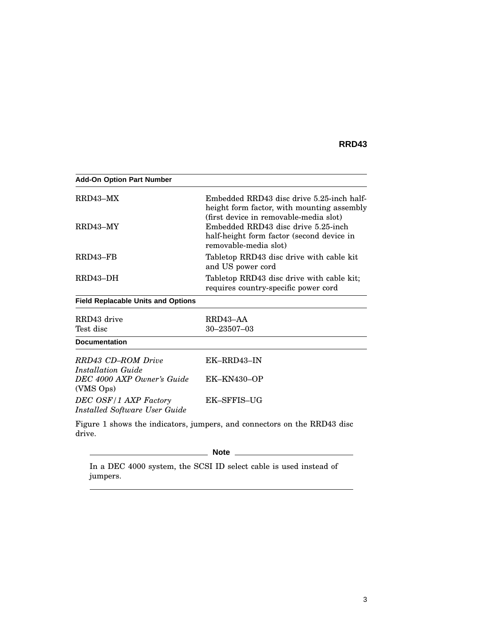| <b>Add-On Option Part Number</b>                              |                                                                                                                                   |
|---------------------------------------------------------------|-----------------------------------------------------------------------------------------------------------------------------------|
| RRD43-MX                                                      | Embedded RRD43 disc drive 5.25-inch half-<br>height form factor, with mounting assembly<br>(first device in removable-media slot) |
| RRD43-MY                                                      | Embedded RRD43 disc drive 5.25-inch<br>half-height form factor (second device in<br>removable-media slot)                         |
| $RRD43-FB$                                                    | Tabletop RRD43 disc drive with cable kit<br>and US power cord                                                                     |
| RRD43-DH                                                      | Tabletop RRD43 disc drive with cable kit;<br>requires country-specific power cord                                                 |
| <b>Field Replacable Units and Options</b>                     |                                                                                                                                   |
| RRD43 drive                                                   | RRD43-AA                                                                                                                          |
| Test disc<br><b>Documentation</b>                             | $30 - 23507 - 03$                                                                                                                 |
| RRD43 CD-ROM Drive<br>Installation Guide                      | EK-RRD43-IN                                                                                                                       |
| DEC 4000 AXP Owner's Guide<br>(VMS Ops)                       | $EK-KN430-OP$                                                                                                                     |
| DEC OSF/1 AXP Factory<br><b>Installed Software User Guide</b> | EK-SFFIS-UG                                                                                                                       |
|                                                               | Figure 1 shows the indicators, jumpers, and connectors on the RRD43 disc                                                          |

ows the indicators, jumpers, and connectors on the RRD43 disc drive.

### **Note**

In a DEC 4000 system, the SCSI ID select cable is used instead of jumpers.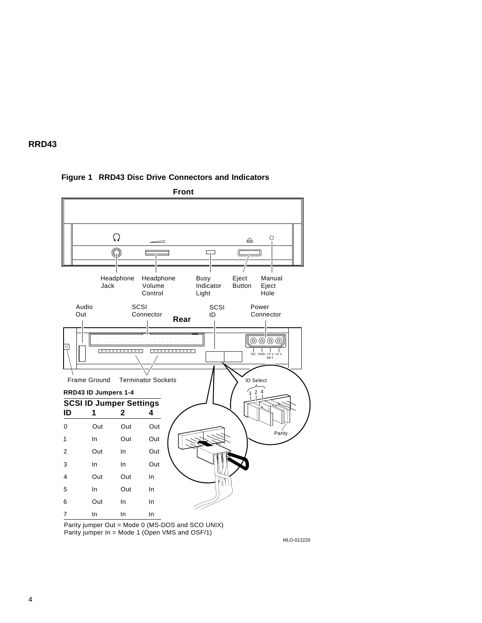

### **Figure 1 RRD43 Disc Drive Connectors and Indicators**

Parity jumper Out = Mode 0 (MS-DOS and SCO UNIX) Parity jumper In = Mode 1 (Open VMS and OSF/1)

MLO-012220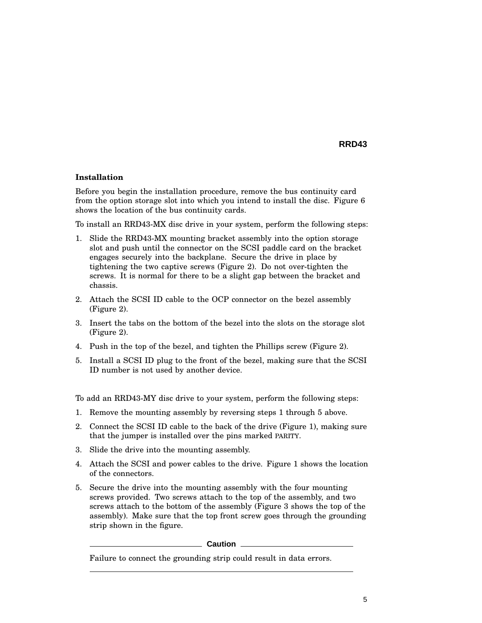### **Installation**

Before you begin the installation procedure, remove the bus continuity card from the option storage slot into which you intend to install the disc. Figure 6 shows the location of the bus continuity cards.

To install an RRD43-MX disc drive in your system, perform the following steps:

- 1. Slide the RRD43-MX mounting bracket assembly into the option storage slot and push until the connector on the SCSI paddle card on the bracket engages securely into the backplane. Secure the drive in place by tightening the two captive screws (Figure 2). Do not over-tighten the screws. It is normal for there to be a slight gap between the bracket and chassis.
- 2. Attach the SCSI ID cable to the OCP connector on the bezel assembly (Figure 2).
- 3. Insert the tabs on the bottom of the bezel into the slots on the storage slot (Figure 2).
- 4. Push in the top of the bezel, and tighten the Phillips screw (Figure 2).
- 5. Install a SCSI ID plug to the front of the bezel, making sure that the SCSI ID number is not used by another device.

To add an RRD43-MY disc drive to your system, perform the following steps:

- 1. Remove the mounting assembly by reversing steps 1 through 5 above.
- 2. Connect the SCSI ID cable to the back of the drive (Figure 1), making sure that the jumper is installed over the pins marked PARITY.
- 3. Slide the drive into the mounting assembly.
- 4. Attach the SCSI and power cables to the drive. Figure 1 shows the location of the connectors.
- 5. Secure the drive into the mounting assembly with the four mounting screws provided. Two screws attach to the top of the assembly, and two screws attach to the bottom of the assembly (Figure 3 shows the top of the assembly). Make sure that the top front screw goes through the grounding strip shown in the figure.

#### **Caution**

Failure to connect the grounding strip could result in data errors.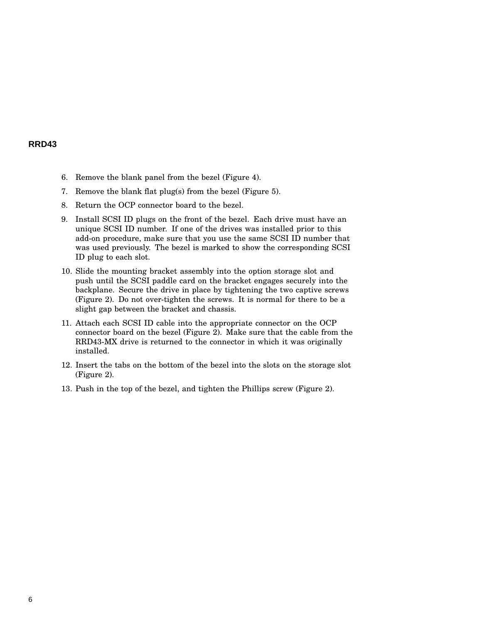- 6. Remove the blank panel from the bezel (Figure 4).
- 7. Remove the blank flat plug(s) from the bezel (Figure 5).
- 8. Return the OCP connector board to the bezel.
- 9. Install SCSI ID plugs on the front of the bezel. Each drive must have an unique SCSI ID number. If one of the drives was installed prior to this add-on procedure, make sure that you use the same SCSI ID number that was used previously. The bezel is marked to show the corresponding SCSI ID plug to each slot.
- 10. Slide the mounting bracket assembly into the option storage slot and push until the SCSI paddle card on the bracket engages securely into the backplane. Secure the drive in place by tightening the two captive screws (Figure 2). Do not over-tighten the screws. It is normal for there to be a slight gap between the bracket and chassis.
- 11. Attach each SCSI ID cable into the appropriate connector on the OCP connector board on the bezel (Figure 2). Make sure that the cable from the RRD43-MX drive is returned to the connector in which it was originally installed.
- 12. Insert the tabs on the bottom of the bezel into the slots on the storage slot (Figure 2).
- 13. Push in the top of the bezel, and tighten the Phillips screw (Figure 2).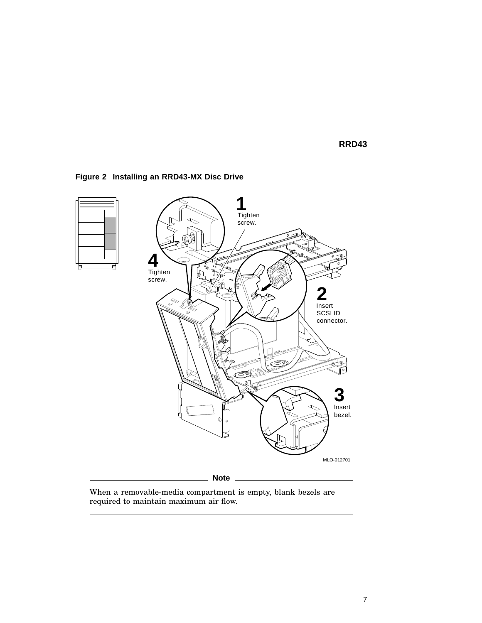

## **Figure 2 Installing an RRD43-MX Disc Drive**

When a removable-media compartment is empty, blank bezels are required to maintain maximum air flow.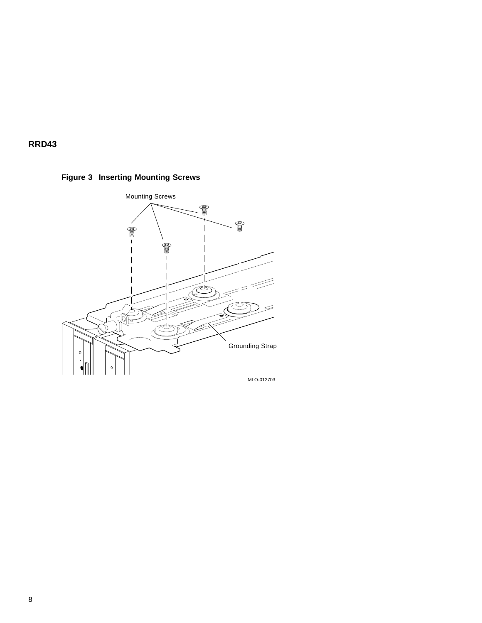

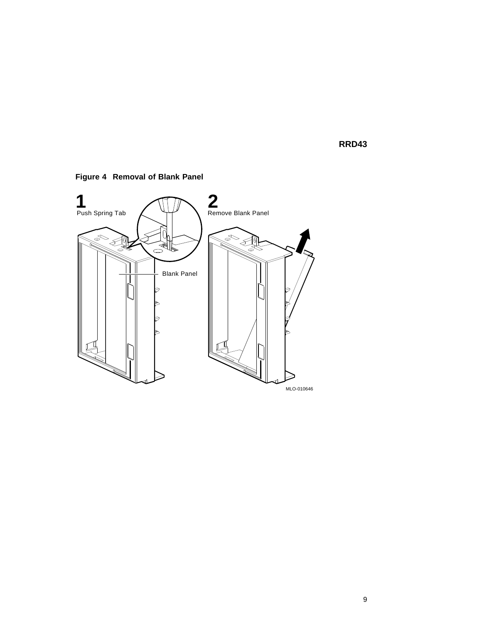

**Figure 4 Removal of Blank Panel**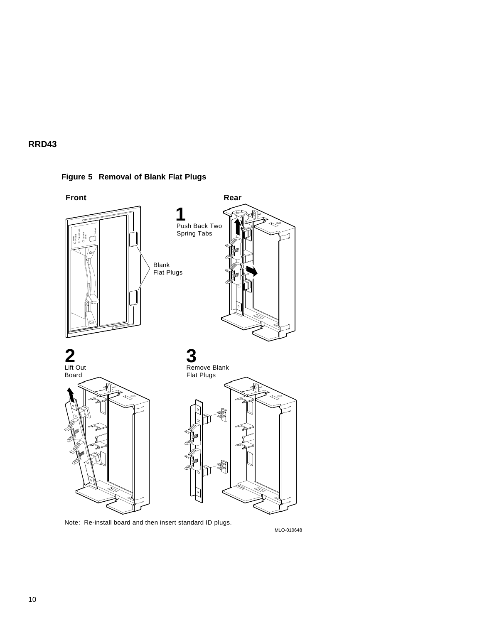

## **Figure 5 Removal of Blank Flat Plugs**

Note: Re-install board and then insert standard ID plugs.

MLO-010648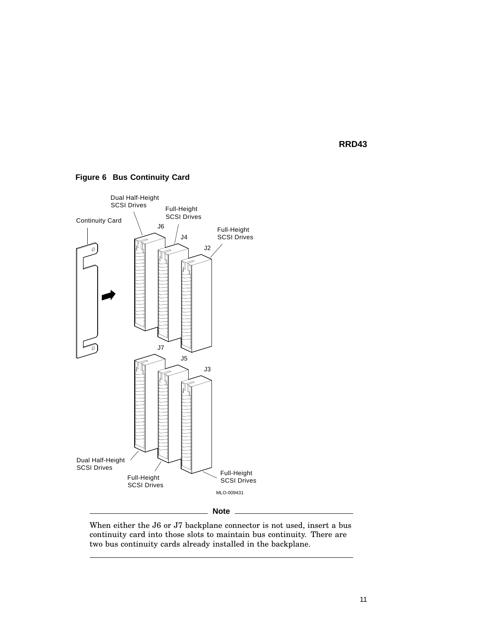

#### **Figure 6 Bus Continuity Card**

When either the J6 or J7 backplane connector is not used, insert a bus continuity card into those slots to maintain bus continuity. There are two bus continuity cards already installed in the backplane.